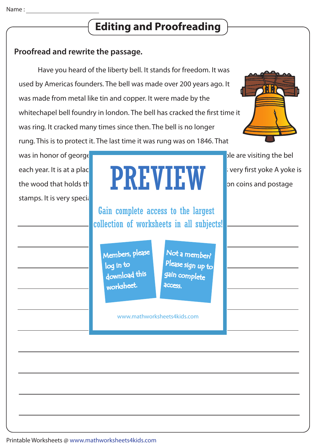# **Editing and Proofreading**

### **Proofread and rewrite the passage.**

 Have you heard of the liberty bell. It stands for freedom. It was used by Americas founders. The bell was made over 200 years ago. It was made from metal like tin and copper. It were made by the whitechapel bell foundry in london. The bell has cracked the first time it was ring. It cracked many times since then. The bell is no longer rung. This is to protect it. The last time it was rung was on 1846. That



was in honor of george was in honor of george was in honor of george was in honor of george was million per visiting the bel stamps. It is very special

## each year. It is at a place called Liberty Bell Hall. It still have very first yoke A yoke is the wood that holds the **bell. A picture of the beam printed on coins** and postage PREVIEW

Gain complete access to the largest collection of worksheets in all subjects!

Members, please download this worksheet. log in to

Not a member? gain complete Please sign up to **access** 

www.mathworksheets4kids.com